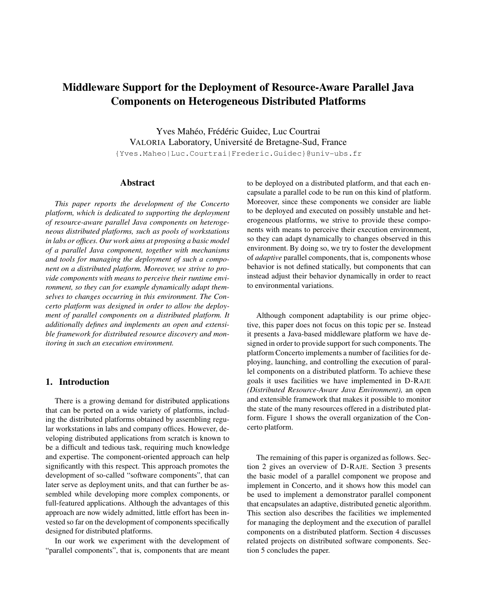# **Middleware Support for the Deployment of Resource-Aware Parallel Java Components on Heterogeneous Distributed Platforms**

Yves Mahéo, Frédéric Guidec, Luc Courtrai VALORIA Laboratory, Université de Bretagne-Sud, France {Yves.Maheo|Luc.Courtrai|Frederic.Guidec}@univ-ubs.fr

#### **Abstract**

*This paper reports the development of the Concerto platform, which is dedicated to supporting the deployment of resource-aware parallel Java components on heterogeneous distributed platforms, such as pools of workstations in labs or offices. Our work aims at proposing a basic model of a parallel Java component, together with mechanisms and tools for managing the deployment of such a component on a distributed platform. Moreover, we strive to provide components with means to perceive their runtime environment, so they can for example dynamically adapt themselves to changes occurring in this environment. The Concerto platform was designed in order to allow the deployment of parallel components on a distributed platform. It additionally defines and implements an open and extensible framework for distributed resource discovery and monitoring in such an execution environment.*

### **1. Introduction**

There is a growing demand for distributed applications that can be ported on a wide variety of platforms, including the distributed platforms obtained by assembling regular workstations in labs and company offices. However, developing distributed applications from scratch is known to be a difficult and tedious task, requiring much knowledge and expertise. The component-oriented approach can help significantly with this respect. This approach promotes the development of so-called "software components", that can later serve as deployment units, and that can further be assembled while developing more complex components, or full-featured applications. Although the advantages of this approach are now widely admitted, little effort has been invested so far on the development of components specifically designed for distributed platforms.

In our work we experiment with the development of "parallel components", that is, components that are meant

to be deployed on a distributed platform, and that each encapsulate a parallel code to be run on this kind of platform. Moreover, since these components we consider are liable to be deployed and executed on possibly unstable and heterogeneous platforms, we strive to provide these components with means to perceive their execution environment, so they can adapt dynamically to changes observed in this environment. By doing so, we try to foster the development of *adaptive* parallel components, that is, components whose behavior is not defined statically, but components that can instead adjust their behavior dynamically in order to react to environmental variations.

Although component adaptability is our prime objective, this paper does not focus on this topic per se. Instead it presents a Java-based middleware platform we have designed in order to provide support for such components. The platform Concerto implements a number of facilities for deploying, launching, and controlling the execution of parallel components on a distributed platform. To achieve these goals it uses facilities we have implemented in D-RAJE *(Distributed Resource-Aware Java Environment),* an open and extensible framework that makes it possible to monitor the state of the many resources offered in a distributed platform. Figure 1 shows the overall organization of the Concerto platform.

The remaining of this paper is organized as follows. Section 2 gives an overview of D-RAJE. Section 3 presents the basic model of a parallel component we propose and implement in Concerto, and it shows how this model can be used to implement a demonstrator parallel component that encapsulates an adaptive, distributed genetic algorithm. This section also describes the facilities we implemented for managing the deployment and the execution of parallel components on a distributed platform. Section 4 discusses related projects on distributed software components. Section 5 concludes the paper.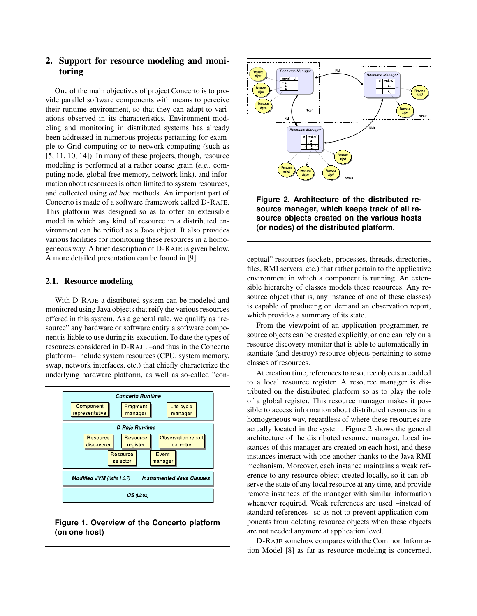# **2. Support for resource modeling and monitoring**

One of the main objectives of project Concerto is to provide parallel software components with means to perceive their runtime environment, so that they can adapt to variations observed in its characteristics. Environment modeling and monitoring in distributed systems has already been addressed in numerous projects pertaining for example to Grid computing or to network computing (such as [5, 11, 10, 14]). In many of these projects, though, resource modeling is performed at a rather coarse grain (*e.g.,* computing node, global free memory, network link), and information about resources is often limited to system resources, and collected using *ad hoc* methods. An important part of Concerto is made of a software framework called D-RAJE. This platform was designed so as to offer an extensible model in which any kind of resource in a distributed environment can be reified as a Java object. It also provides various facilities for monitoring these resources in a homogeneous way. A brief description of D-RAJE is given below. A more detailed presentation can be found in [9].

### **2.1. Resource modeling**

With D-RAJE a distributed system can be modeled and monitored using Java objects that reify the various resources offered in this system. As a general rule, we qualify as "resource" any hardware or software entity a software component is liable to use during its execution. To date the types of resources considered in D-RAJE –and thus in the Concerto platform– include system resources (CPU, system memory, swap, network interfaces, etc.) that chiefly characterize the underlying hardware platform, as well as so-called "con-



#### **Figure 1. Overview of the Concerto platform (on one host)**



**Figure 2. Architecture of the distributed resource manager, which keeps track of all resource objects created on the various hosts (or nodes) of the distributed platform.**

ceptual" resources (sockets, processes, threads, directories, files, RMI servers, etc.) that rather pertain to the applicative environment in which a component is running. An extensible hierarchy of classes models these resources. Any resource object (that is, any instance of one of these classes) is capable of producing on demand an observation report, which provides a summary of its state.

From the viewpoint of an application programmer, resource objects can be created explicitly, or one can rely on a resource discovery monitor that is able to automatically instantiate (and destroy) resource objects pertaining to some classes of resources.

At creation time, references to resource objects are added to a local resource register. A resource manager is distributed on the distributed platform so as to play the role of a global register. This resource manager makes it possible to access information about distributed resources in a homogeneous way, regardless of where these resources are actually located in the system. Figure 2 shows the general architecture of the distributed resource manager. Local instances of this manager are created on each host, and these instances interact with one another thanks to the Java RMI mechanism. Moreover, each instance maintains a weak reference to any resource object created locally, so it can observe the state of any local resource at any time, and provide remote instances of the manager with similar information whenever required. Weak references are used –instead of standard references– so as not to prevent application components from deleting resource objects when these objects are not needed anymore at application level.

D-RAJE somehow compares with the Common Information Model [8] as far as resource modeling is concerned.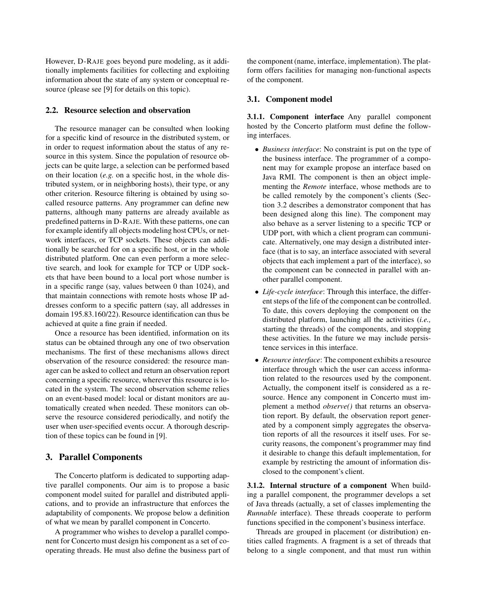However, D-RAJE goes beyond pure modeling, as it additionally implements facilities for collecting and exploiting information about the state of any system or conceptual resource (please see [9] for details on this topic).

#### **2.2. Resource selection and observation**

The resource manager can be consulted when looking for a specific kind of resource in the distributed system, or in order to request information about the status of any resource in this system. Since the population of resource objects can be quite large, a selection can be performed based on their location (*e.g.* on a specific host, in the whole distributed system, or in neighboring hosts), their type, or any other criterion. Resource filtering is obtained by using socalled resource patterns. Any programmer can define new patterns, although many patterns are already available as predefined patterns in D-RAJE. With these patterns, one can for example identify all objects modeling host CPUs, or network interfaces, or TCP sockets. These objects can additionally be searched for on a specific host, or in the whole distributed platform. One can even perform a more selective search, and look for example for TCP or UDP sockets that have been bound to a local port whose number is in a specific range (say, values between 0 than 1024), and that maintain connections with remote hosts whose IP addresses conform to a specific pattern (say, all addresses in domain 195.83.160/22). Resource identification can thus be achieved at quite a fine grain if needed.

Once a resource has been identified, information on its status can be obtained through any one of two observation mechanisms. The first of these mechanisms allows direct observation of the resource considered: the resource manager can be asked to collect and return an observation report concerning a specific resource, wherever this resource is located in the system. The second observation scheme relies on an event-based model: local or distant monitors are automatically created when needed. These monitors can observe the resource considered periodically, and notify the user when user-specified events occur. A thorough description of these topics can be found in [9].

### **3. Parallel Components**

The Concerto platform is dedicated to supporting adaptive parallel components. Our aim is to propose a basic component model suited for parallel and distributed applications, and to provide an infrastructure that enforces the adaptability of components. We propose below a definition of what we mean by parallel component in Concerto.

A programmer who wishes to develop a parallel component for Concerto must design his component as a set of cooperating threads. He must also define the business part of the component (name, interface, implementation). The platform offers facilities for managing non-functional aspects of the component.

#### **3.1. Component model**

**3.1.1. Component interface** Any parallel component hosted by the Concerto platform must define the following interfaces.

- *Business interface*: No constraint is put on the type of the business interface. The programmer of a component may for example propose an interface based on Java RMI. The component is then an object implementing the *Remote* interface, whose methods are to be called remotely by the component's clients (Section 3.2 describes a demonstrator component that has been designed along this line). The component may also behave as a server listening to a specific TCP or UDP port, with which a client program can communicate. Alternatively, one may design a distributed interface (that is to say, an interface associated with several objects that each implement a part of the interface), so the component can be connected in parallel with another parallel component.
- *Life-cycle interface*: Through this interface, the different steps of the life of the component can be controlled. To date, this covers deploying the component on the distributed platform, launching all the activities (*i.e.,* starting the threads) of the components, and stopping these activities. In the future we may include persistence services in this interface.
- *Resource interface*: The component exhibits a resource interface through which the user can access information related to the resources used by the component. Actually, the component itself is considered as a resource. Hence any component in Concerto must implement a method *observe()* that returns an observation report. By default, the observation report generated by a component simply aggregates the observation reports of all the resources it itself uses. For security reasons, the component's programmer may find it desirable to change this default implementation, for example by restricting the amount of information disclosed to the component's client.

**3.1.2. Internal structure of a component** When building a parallel component, the programmer develops a set of Java threads (actually, a set of classes implementing the *Runnable* interface). These threads cooperate to perform functions specified in the component's business interface.

Threads are grouped in placement (or distribution) entities called fragments. A fragment is a set of threads that belong to a single component, and that must run within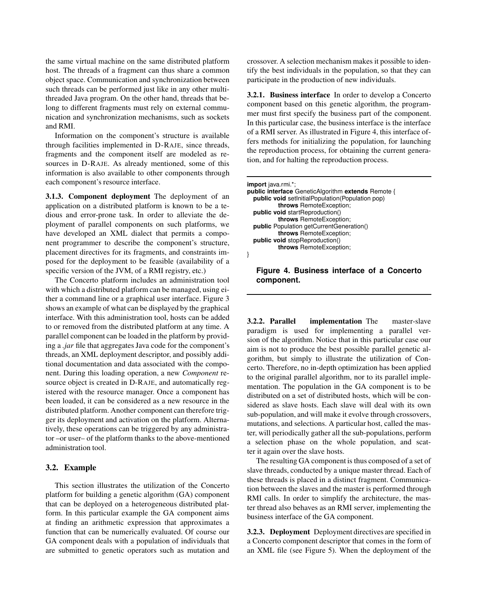the same virtual machine on the same distributed platform host. The threads of a fragment can thus share a common object space. Communication and synchronization between such threads can be performed just like in any other multithreaded Java program. On the other hand, threads that belong to different fragments must rely on external communication and synchronization mechanisms, such as sockets and RMI.

Information on the component's structure is available through facilities implemented in D-RAJE, since threads, fragments and the component itself are modeled as resources in D-RAJE. As already mentioned, some of this information is also available to other components through each component's resource interface.

**3.1.3. Component deployment** The deployment of an application on a distributed platform is known to be a tedious and error-prone task. In order to alleviate the deployment of parallel components on such platforms, we have developed an XML dialect that permits a component programmer to describe the component's structure, placement directives for its fragments, and constraints imposed for the deployment to be feasible (availability of a specific version of the JVM, of a RMI registry, etc.)

The Concerto platform includes an administration tool with which a distributed platform can be managed, using either a command line or a graphical user interface. Figure 3 shows an example of what can be displayed by the graphical interface. With this administration tool, hosts can be added to or removed from the distributed platform at any time. A parallel component can be loaded in the platform by providing a *.jar* file that aggregates Java code for the component's threads, an XML deployment descriptor, and possibly additional documentation and data associated with the component. During this loading operation, a new *Component* resource object is created in D-RAJE, and automatically registered with the resource manager. Once a component has been loaded, it can be considered as a new resource in the distributed platform. Another component can therefore trigger its deployment and activation on the platform. Alternatively, these operations can be triggered by any administrator –or user– of the platform thanks to the above-mentioned administration tool.

#### **3.2. Example**

This section illustrates the utilization of the Concerto platform for building a genetic algorithm (GA) component that can be deployed on a heterogeneous distributed platform. In this particular example the GA component aims at finding an arithmetic expression that approximates a function that can be numerically evaluated. Of course our GA component deals with a population of individuals that are submitted to genetic operators such as mutation and crossover. A selection mechanism makes it possible to identify the best individuals in the population, so that they can participate in the production of new individuals.

**3.2.1. Business interface** In order to develop a Concerto component based on this genetic algorithm, the programmer must first specify the business part of the component. In this particular case, the business interface is the interface of a RMI server. As illustrated in Figure 4, this interface offers methods for initializing the population, for launching the reproduction process, for obtaining the current generation, and for halting the reproduction process.

| <b>import</b> java.rmi.*; |  |  |
|---------------------------|--|--|
|---------------------------|--|--|

**public interface** GeneticAlgorithm **extends** Remote { **public void** setInitialPopulation(Population pop) **throws** RemoteException; **public void** startReproduction() **throws** RemoteException; **public** Population getCurrentGeneration() **throws** RemoteException; **public void** stopReproduction() **throws** RemoteException; }

#### **Figure 4. Business interface of a Concerto component.**

**3.2.2. Parallel implementation** The master-slave paradigm is used for implementing a parallel version of the algorithm. Notice that in this particular case our aim is not to produce the best possible parallel genetic algorithm, but simply to illustrate the utilization of Concerto. Therefore, no in-depth optimization has been applied to the original parallel algorithm, nor to its parallel implementation. The population in the GA component is to be distributed on a set of distributed hosts, which will be considered as slave hosts. Each slave will deal with its own sub-population, and will make it evolve through crossovers, mutations, and selections. A particular host, called the master, will periodically gather all the sub-populations, perform a selection phase on the whole population, and scatter it again over the slave hosts.

The resulting GA component is thus composed of a set of slave threads, conducted by a unique master thread. Each of these threads is placed in a distinct fragment. Communication between the slaves and the master is performed through RMI calls. In order to simplify the architecture, the master thread also behaves as an RMI server, implementing the business interface of the GA component.

**3.2.3. Deployment** Deployment directives are specified in a Concerto component descriptor that comes in the form of an XML file (see Figure 5). When the deployment of the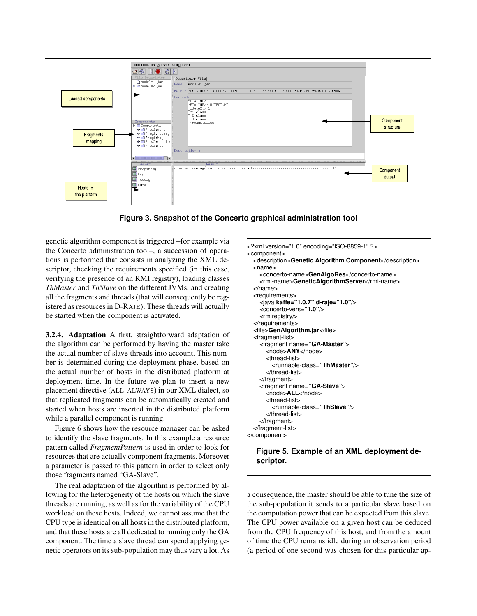

**Figure 3. Snapshot of the Concerto graphical administration tool**

genetic algorithm component is triggered –for example via the Concerto administration tool–, a succession of operations is performed that consists in analyzing the XML descriptor, checking the requirements specified (in this case, verifying the presence of an RMI registry), loading classes *ThMaster* and *ThSlave* on the different JVMs, and creating all the fragments and threads (that will consequently be registered as resources in D-RAJE). These threads will actually be started when the component is activated.

**3.2.4. Adaptation** A first, straightforward adaptation of the algorithm can be performed by having the master take the actual number of slave threads into account. This number is determined during the deployment phase, based on the actual number of hosts in the distributed platform at deployment time. In the future we plan to insert a new placement directive (ALL-ALWAYS) in our XML dialect, so that replicated fragments can be automatically created and started when hosts are inserted in the distributed platform while a parallel component is running.

Figure 6 shows how the resource manager can be asked to identify the slave fragments. In this example a resource pattern called *FragmentPattern* is used in order to look for resources that are actually component fragments. Moreover a parameter is passed to this pattern in order to select only those fragments named "GA-Slave".

The real adaptation of the algorithm is performed by allowing for the heterogeneity of the hosts on which the slave threads are running, as well as for the variability of the CPU workload on these hosts. Indeed, we cannot assume that the CPU type is identical on all hosts in the distributed platform, and that these hosts are all dedicated to running only the GA component. The time a slave thread can spend applying genetic operators on its sub-population may thus vary a lot. As

<component> <description>**Genetic Algorithm Component**</description> <name> <concerto-name>**GenAlgoRes**</concerto-name> <rmi-name>**GeneticAlgorithmServer**</rmi-name> </name> <requirements> <java **kaffe="1.0.7" d-raje="1.0"**/> <concerto-vers=**"1.0"**/> <rmiregistry/> </requirements> <file>**GenAlgorithm.jar**</file> <fragment-list> <fragment name=**"GA-Master"**> <node>**ANY**</node> <thread-list> <runnable-class=**"ThMaster"**/> </thread-list> </fragment> <fragment name=**"GA-Slave"**> <node>**ALL**</node> <thread-list> <runnable-class=**"ThSlave"**/> </thread-list> </fragment> </fragment-list> </component>

<?xml version="1.0" encoding="ISO-8859-1" ?>

# **Figure 5. Example of an XML deployment descriptor.**

a consequence, the master should be able to tune the size of the sub-population it sends to a particular slave based on the computation power that can be expected from this slave. The CPU power available on a given host can be deduced from the CPU frequency of this host, and from the amount of time the CPU remains idle during an observation period (a period of one second was chosen for this particular ap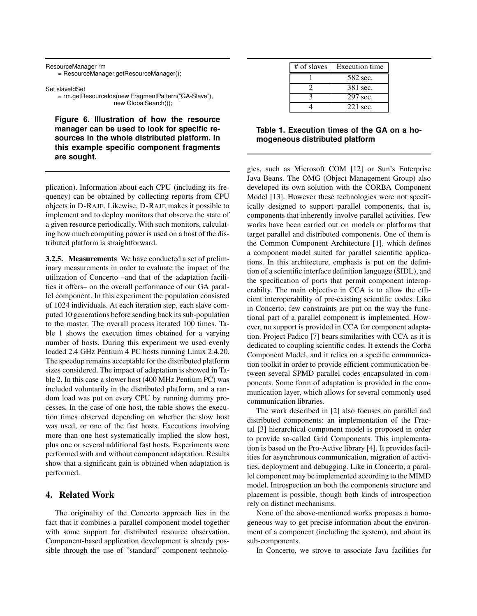ResourceManager rm = ResourceManager.getResourceManager();

Set slaveIdSet

= rm.getResourceIds(new FragmentPattern("GA-Slave"), new GlobalSearch());

**Figure 6. Illustration of how the resource manager can be used to look for specific resources in the whole distributed platform. In this example specific component fragments are sought.**

plication). Information about each CPU (including its frequency) can be obtained by collecting reports from CPU objects in D-RAJE. Likewise, D-RAJE makes it possible to implement and to deploy monitors that observe the state of a given resource periodically. With such monitors, calculating how much computing power is used on a host of the distributed platform is straightforward.

**3.2.5. Measurements** We have conducted a set of preliminary measurements in order to evaluate the impact of the utilization of Concerto –and that of the adaptation facilities it offers– on the overall performance of our GA parallel component. In this experiment the population consisted of 1024 individuals. At each iteration step, each slave computed 10 generations before sending back its sub-population to the master. The overall process iterated 100 times. Table 1 shows the execution times obtained for a varying number of hosts. During this experiment we used evenly loaded 2.4 GHz Pentium 4 PC hosts running Linux 2.4.20. The speedup remains acceptable for the distributed platform sizes considered. The impact of adaptation is showed in Table 2. In this case a slower host (400 MHz Pentium PC) was included voluntarily in the distributed platform, and a random load was put on every CPU by running dummy processes. In the case of one host, the table shows the execution times observed depending on whether the slow host was used, or one of the fast hosts. Executions involving more than one host systematically implied the slow host, plus one or several additional fast hosts. Experiments were performed with and without component adaptation. Results show that a significant gain is obtained when adaptation is performed.

### **4. Related Work**

The originality of the Concerto approach lies in the fact that it combines a parallel component model together with some support for distributed resource observation. Component-based application development is already possible through the use of "standard" component technolo-

| # of slaves | Execution time |
|-------------|----------------|
|             | 582 sec.       |
|             | 381 sec.       |
|             | 297 sec.       |
|             | 221 sec.       |

# **Table 1. Execution times of the GA on a homogeneous distributed platform**

gies, such as Microsoft COM [12] or Sun's Enterprise Java Beans. The OMG (Object Management Group) also developed its own solution with the CORBA Component Model [13]. However these technologies were not specifically designed to support parallel components, that is, components that inherently involve parallel activities. Few works have been carried out on models or platforms that target parallel and distributed components. One of them is the Common Component Architecture [1], which defines a component model suited for parallel scientific applications. In this architecture, emphasis is put on the definition of a scientific interface definition language (SIDL), and the specification of ports that permit component interoperabilty. The main objective in CCA is to allow the efficient interoperability of pre-existing scientific codes. Like in Concerto, few constraints are put on the way the functional part of a parallel component is implemented. However, no support is provided in CCA for component adaptation. Project Padico [7] bears similarities with CCA as it is dedicated to coupling scientific codes. It extends the Corba Component Model, and it relies on a specific communication toolkit in order to provide efficient communication between several SPMD parallel codes encapsulated in components. Some form of adaptation is provided in the communication layer, which allows for several commonly used communication libraries.

The work described in [2] also focuses on parallel and distributed components: an implementation of the Fractal [3] hierarchical component model is proposed in order to provide so-called Grid Components. This implementation is based on the Pro-Active library [4]. It provides facilities for asynchronous communication, migration of activities, deployment and debugging. Like in Concerto, a parallel component may be implemented according to the MIMD model. Introspection on both the components structure and placement is possible, though both kinds of introspection rely on distinct mechanisms.

None of the above-mentioned works proposes a homogeneous way to get precise information about the environment of a component (including the system), and about its sub-components.

In Concerto, we strove to associate Java facilities for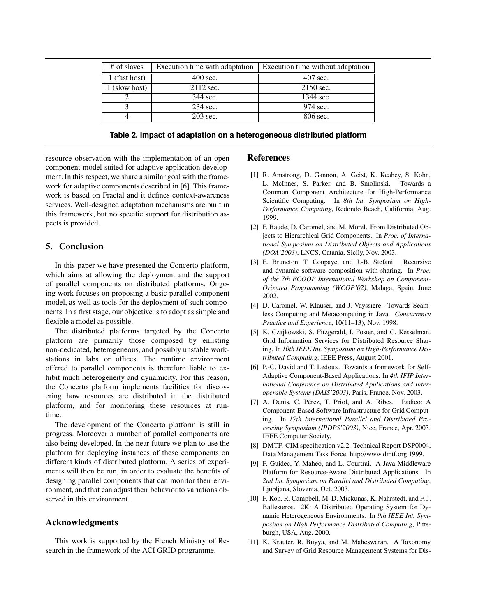| # of slaves   | Execution time with adaptation | Execution time without adaptation |
|---------------|--------------------------------|-----------------------------------|
| 1 (fast host) | $400 \text{ sec.}$             | 407 sec.                          |
| 1 (slow host) | 2112 sec.                      | 2150 sec.                         |
|               | 344 sec.                       | 1344 sec.                         |
|               | 234 sec.                       | 974 sec.                          |
|               | 203 sec.                       | 806 sec.                          |

**Table 2. Impact of adaptation on a heterogeneous distributed platform**

resource observation with the implementation of an open component model suited for adaptive application development. In this respect, we share a similar goal with the framework for adaptive components described in [6]. This framework is based on Fractal and it defines context-awareness services. Well-designed adaptation mechanisms are built in this framework, but no specific support for distribution aspects is provided.

# **5. Conclusion**

In this paper we have presented the Concerto platform, which aims at allowing the deployment and the support of parallel components on distributed platforms. Ongoing work focuses on proposing a basic parallel component model, as well as tools for the deployment of such components. In a first stage, our objective is to adopt as simple and flexible a model as possible.

The distributed platforms targeted by the Concerto platform are primarily those composed by enlisting non-dedicated, heterogeneous, and possibly unstable workstations in labs or offices. The runtime environment offered to parallel components is therefore liable to exhibit much heterogeneity and dynamicity. For this reason, the Concerto platform implements facilities for discovering how resources are distributed in the distributed platform, and for monitoring these resources at runtime.

The development of the Concerto platform is still in progress. Moreover a number of parallel components are also being developed. In the near future we plan to use the platform for deploying instances of these components on different kinds of distributed platform. A series of experiments will then be run, in order to evaluate the benefits of designing parallel components that can monitor their environment, and that can adjust their behavior to variations observed in this environment.

### **Acknowledgments**

This work is supported by the French Ministry of Research in the framework of the ACI GRID programme.

### **References**

- [1] R. Amstrong, D. Gannon, A. Geist, K. Keahey, S. Kohn, L. McInnes, S. Parker, and B. Smolinski. Towards a Common Component Architecture for High-Performance Scientific Computing. In *8th Int. Symposium on High-Performance Computing*, Redondo Beach, California, Aug. 1999.
- [2] F. Baude, D. Caromel, and M. Morel. From Distributed Objects to Hierarchical Grid Components. In *Proc. of International Symposium on Distributed Objects and Applications (DOA'2003)*, LNCS, Catania, Sicily, Nov. 2003.
- [3] E. Bruneton, T. Coupaye, and J.-B. Stefani. Recursive and dynamic software composition with sharing. In *Proc. of the 7th ECOOP International Workshop on Component-Oriented Programming (WCOP'02)*, Malaga, Spain, June 2002.
- [4] D. Caromel, W. Klauser, and J. Vayssiere. Towards Seamless Computing and Metacomputing in Java. *Concurrency Practice and Experience*, 10(11–13), Nov. 1998.
- [5] K. Czajkowski, S. Fitzgerald, I. Foster, and C. Kesselman. Grid Information Services for Distributed Resource Sharing. In *10th IEEE Int. Symposium on High-Performance Distributed Computing*. IEEE Press, August 2001.
- [6] P.-C. David and T. Ledoux. Towards a framework for Self-Adaptive Component-Based Applications. In *4th IFIP International Conference on Distributed Applications and Interoperable Systems (DAIS'2003)*, Paris, France, Nov. 2003.
- [7] A. Denis, C. Pérez, T. Priol, and A. Ribes. Padico: A Component-Based Software Infrastructure for Grid Computing. In *17th International Parallel and Distributed Processing Symposium (IPDPS'2003)*, Nice, France, Apr. 2003. IEEE Computer Society.
- [8] DMTF. CIM specification v2.2. Technical Report DSP0004, Data Management Task Force, http://www.dmtf.org 1999.
- [9] F. Guidec, Y. Mahéo, and L. Courtrai. A Java Middleware Platform for Resource-Aware Distributed Applications. In *2nd Int. Symposium on Parallel and Distributed Computing*, Ljubljana, Slovenia, Oct. 2003.
- [10] F. Kon, R. Campbell, M. D. Mickunas, K. Nahrstedt, and F. J. Ballesteros. 2K: A Distributed Operating System for Dynamic Heterogeneous Environments. In *9th IEEE Int. Symposium on High Performance Distributed Computing*, Pittsburgh, USA, Aug. 2000.
- [11] K. Krauter, R. Buyya, and M. Maheswaran. A Taxonomy and Survey of Grid Resource Management Systems for Dis-